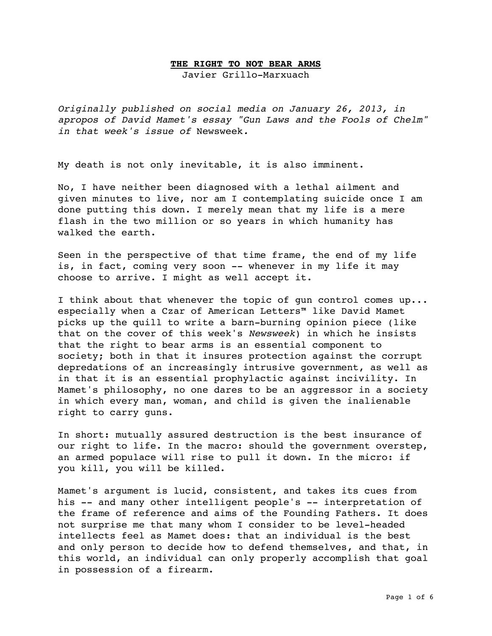## **THE RIGHT TO NOT BEAR ARMS**

Javier Grillo-Marxuach

*Originally published on social media on January 26, 2013, in apropos of David Mamet's essay "Gun Laws and the Fools of Chelm" in that week's issue of* Newsweek*.*

My death is not only inevitable, it is also imminent.

No, I have neither been diagnosed with a lethal ailment and given minutes to live, nor am I contemplating suicide once I am done putting this down. I merely mean that my life is a mere flash in the two million or so years in which humanity has walked the earth.

Seen in the perspective of that time frame, the end of my life is, in fact, coming very soon -- whenever in my life it may choose to arrive. I might as well accept it.

I think about that whenever the topic of gun control comes up... especially when a Czar of American Letters™ like David Mamet picks up the quill to write a barn-burning opinion piece (like that on the cover of this week's *Newsweek*) in which he insists that the right to bear arms is an essential component to society; both in that it insures protection against the corrupt depredations of an increasingly intrusive government, as well as in that it is an essential prophylactic against incivility. In Mamet's philosophy, no one dares to be an aggressor in a society in which every man, woman, and child is given the inalienable right to carry guns.

In short: mutually assured destruction is the best insurance of our right to life. In the macro: should the government overstep, an armed populace will rise to pull it down. In the micro: if you kill, you will be killed.

Mamet's argument is lucid, consistent, and takes its cues from his -- and many other intelligent people's -- interpretation of the frame of reference and aims of the Founding Fathers. It does not surprise me that many whom I consider to be level-headed intellects feel as Mamet does: that an individual is the best and only person to decide how to defend themselves, and that, in this world, an individual can only properly accomplish that goal in possession of a firearm.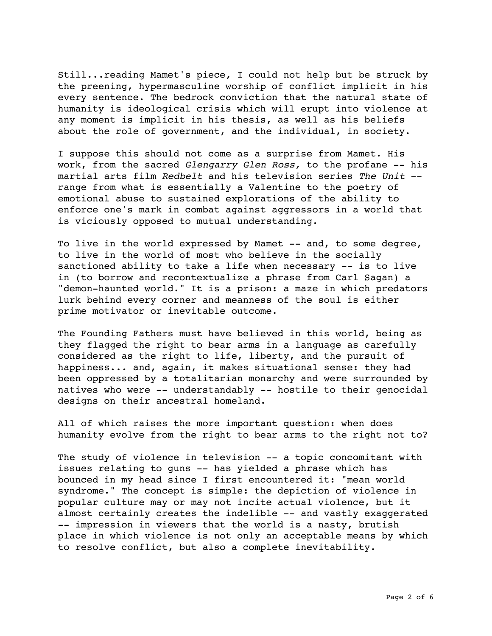Still...reading Mamet's piece, I could not help but be struck by the preening, hypermasculine worship of conflict implicit in his every sentence. The bedrock conviction that the natural state of humanity is ideological crisis which will erupt into violence at any moment is implicit in his thesis, as well as his beliefs about the role of government, and the individual, in society.

I suppose this should not come as a surprise from Mamet. His work, from the sacred *Glengarry Glen Ross,* to the profane -- his martial arts film *Redbelt* and his television series *The Unit* - range from what is essentially a Valentine to the poetry of emotional abuse to sustained explorations of the ability to enforce one's mark in combat against aggressors in a world that is viciously opposed to mutual understanding.

To live in the world expressed by Mamet -- and, to some degree, to live in the world of most who believe in the socially sanctioned ability to take a life when necessary -- is to live in (to borrow and recontextualize a phrase from Carl Sagan) a "demon-haunted world." It is a prison: a maze in which predators lurk behind every corner and meanness of the soul is either prime motivator or inevitable outcome.

The Founding Fathers must have believed in this world, being as they flagged the right to bear arms in a language as carefully considered as the right to life, liberty, and the pursuit of happiness... and, again, it makes situational sense: they had been oppressed by a totalitarian monarchy and were surrounded by natives who were -- understandably -- hostile to their genocidal designs on their ancestral homeland.

All of which raises the more important question: when does humanity evolve from the right to bear arms to the right not to?

The study of violence in television -- a topic concomitant with issues relating to guns -- has yielded a phrase which has bounced in my head since I first encountered it: "mean world syndrome." The concept is simple: the depiction of violence in popular culture may or may not incite actual violence, but it almost certainly creates the indelible -- and vastly exaggerated -- impression in viewers that the world is a nasty, brutish place in which violence is not only an acceptable means by which to resolve conflict, but also a complete inevitability.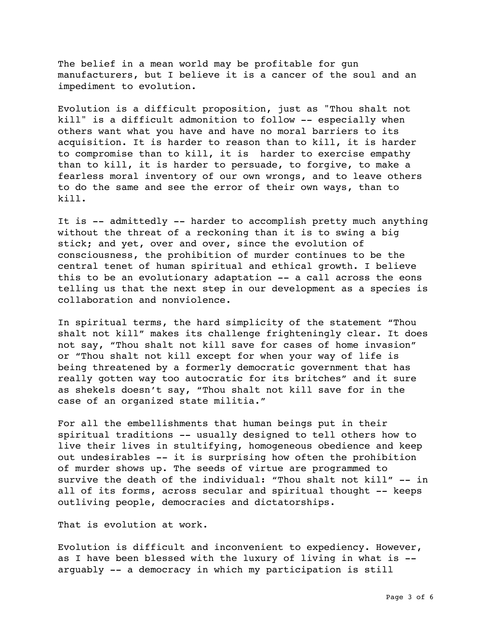The belief in a mean world may be profitable for gun manufacturers, but I believe it is a cancer of the soul and an impediment to evolution.

Evolution is a difficult proposition, just as "Thou shalt not kill" is a difficult admonition to follow -- especially when others want what you have and have no moral barriers to its acquisition. It is harder to reason than to kill, it is harder to compromise than to kill, it is harder to exercise empathy than to kill, it is harder to persuade, to forgive, to make a fearless moral inventory of our own wrongs, and to leave others to do the same and see the error of their own ways, than to kill.

It is -- admittedly -- harder to accomplish pretty much anything without the threat of a reckoning than it is to swing a big stick; and yet, over and over, since the evolution of consciousness, the prohibition of murder continues to be the central tenet of human spiritual and ethical growth. I believe this to be an evolutionary adaptation -- a call across the eons telling us that the next step in our development as a species is collaboration and nonviolence.

In spiritual terms, the hard simplicity of the statement "Thou shalt not kill" makes its challenge frighteningly clear. It does not say, "Thou shalt not kill save for cases of home invasion" or "Thou shalt not kill except for when your way of life is being threatened by a formerly democratic government that has really gotten way too autocratic for its britches" and it sure as shekels doesn't say, "Thou shalt not kill save for in the case of an organized state militia."

For all the embellishments that human beings put in their spiritual traditions -- usually designed to tell others how to live their lives in stultifying, homogeneous obedience and keep out undesirables -- it is surprising how often the prohibition of murder shows up. The seeds of virtue are programmed to survive the death of the individual: "Thou shalt not kill" -- in all of its forms, across secular and spiritual thought -- keeps outliving people, democracies and dictatorships.

That is evolution at work.

Evolution is difficult and inconvenient to expediency. However, as I have been blessed with the luxury of living in what is - arguably -- a democracy in which my participation is still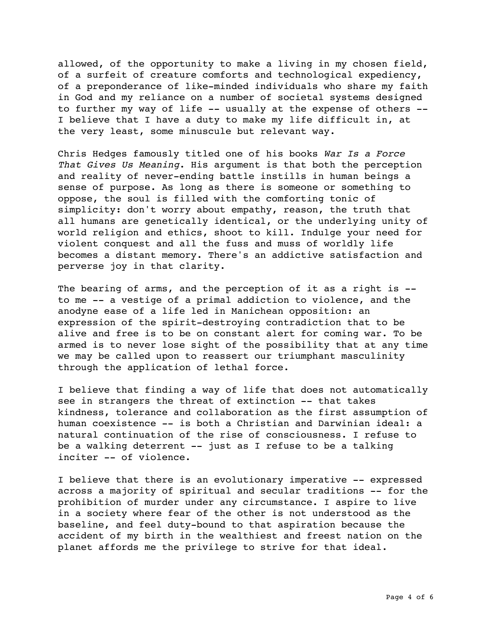allowed, of the opportunity to make a living in my chosen field, of a surfeit of creature comforts and technological expediency, of a preponderance of like-minded individuals who share my faith in God and my reliance on a number of societal systems designed to further my way of life -- usually at the expense of others -- I believe that I have a duty to make my life difficult in, at the very least, some minuscule but relevant way.

Chris Hedges famously titled one of his books *War Is a Force That Gives Us Meaning*. His argument is that both the perception and reality of never-ending battle instills in human beings a sense of purpose. As long as there is someone or something to oppose, the soul is filled with the comforting tonic of simplicity: don't worry about empathy, reason, the truth that all humans are genetically identical, or the underlying unity of world religion and ethics, shoot to kill. Indulge your need for violent conquest and all the fuss and muss of worldly life becomes a distant memory. There's an addictive satisfaction and perverse joy in that clarity.

The bearing of arms, and the perception of it as a right is -to me -- a vestige of a primal addiction to violence, and the anodyne ease of a life led in Manichean opposition: an expression of the spirit-destroying contradiction that to be alive and free is to be on constant alert for coming war. To be armed is to never lose sight of the possibility that at any time we may be called upon to reassert our triumphant masculinity through the application of lethal force.

I believe that finding a way of life that does not automatically see in strangers the threat of extinction -- that takes kindness, tolerance and collaboration as the first assumption of human coexistence -- is both a Christian and Darwinian ideal: a natural continuation of the rise of consciousness. I refuse to be a walking deterrent -- just as I refuse to be a talking inciter -- of violence.

I believe that there is an evolutionary imperative -- expressed across a majority of spiritual and secular traditions -- for the prohibition of murder under any circumstance. I aspire to live in a society where fear of the other is not understood as the baseline, and feel duty-bound to that aspiration because the accident of my birth in the wealthiest and freest nation on the planet affords me the privilege to strive for that ideal.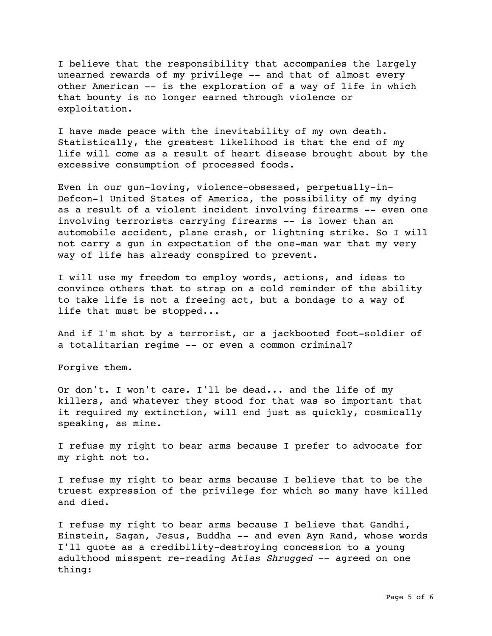I believe that the responsibility that accompanies the largely unearned rewards of my privilege -- and that of almost every other American -- is the exploration of a way of life in which that bounty is no longer earned through violence or exploitation.

I have made peace with the inevitability of my own death. Statistically, the greatest likelihood is that the end of my life will come as a result of heart disease brought about by the excessive consumption of processed foods.

Even in our gun-loving, violence-obsessed, perpetually-in-Defcon-1 United States of America, the possibility of my dying as a result of a violent incident involving firearms -- even one involving terrorists carrying firearms -- is lower than an automobile accident, plane crash, or lightning strike. So I will not carry a gun in expectation of the one-man war that my very way of life has already conspired to prevent.

I will use my freedom to employ words, actions, and ideas to convince others that to strap on a cold reminder of the ability to take life is not a freeing act, but a bondage to a way of life that must be stopped...

And if I'm shot by a terrorist, or a jackbooted foot-soldier of a totalitarian regime -- or even a common criminal?

Forgive them.

Or don't. I won't care. I'll be dead... and the life of my killers, and whatever they stood for that was so important that it required my extinction, will end just as quickly, cosmically speaking, as mine.

I refuse my right to bear arms because I prefer to advocate for my right not to.

I refuse my right to bear arms because I believe that to be the truest expression of the privilege for which so many have killed and died.

I refuse my right to bear arms because I believe that Gandhi, Einstein, Sagan, Jesus, Buddha -- and even Ayn Rand, whose words I'll quote as a credibility-destroying concession to a young adulthood misspent re-reading *Atlas Shrugged* -- agreed on one thing: